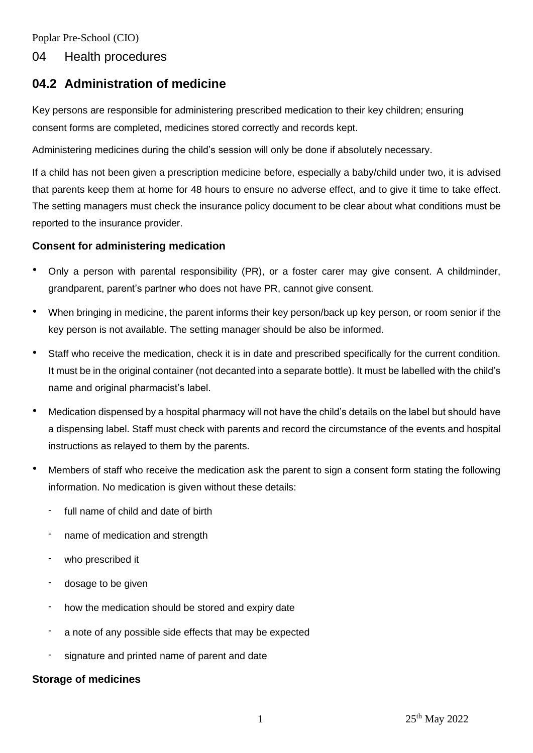Poplar Pre-School (CIO)

## 04 Health procedures

# **04.2 Administration of medicine**

Key persons are responsible for administering prescribed medication to their key children; ensuring consent forms are completed, medicines stored correctly and records kept.

Administering medicines during the child's session will only be done if absolutely necessary.

If a child has not been given a prescription medicine before, especially a baby/child under two, it is advised that parents keep them at home for 48 hours to ensure no adverse effect, and to give it time to take effect. The setting managers must check the insurance policy document to be clear about what conditions must be reported to the insurance provider.

## **Consent for administering medication**

- Only a person with parental responsibility (PR), or a foster carer may give consent. A childminder, grandparent, parent's partner who does not have PR, cannot give consent.
- When bringing in medicine, the parent informs their key person/back up key person, or room senior if the key person is not available. The setting manager should be also be informed.
- Staff who receive the medication, check it is in date and prescribed specifically for the current condition. It must be in the original container (not decanted into a separate bottle). It must be labelled with the child's name and original pharmacist's label.
- Medication dispensed by a hospital pharmacy will not have the child's details on the label but should have a dispensing label. Staff must check with parents and record the circumstance of the events and hospital instructions as relayed to them by the parents.
- Members of staff who receive the medication ask the parent to sign a consent form stating the following information. No medication is given without these details:
	- full name of child and date of birth
	- name of medication and strength
	- who prescribed it
	- dosage to be given
	- how the medication should be stored and expiry date
	- a note of any possible side effects that may be expected
	- signature and printed name of parent and date

## **Storage of medicines**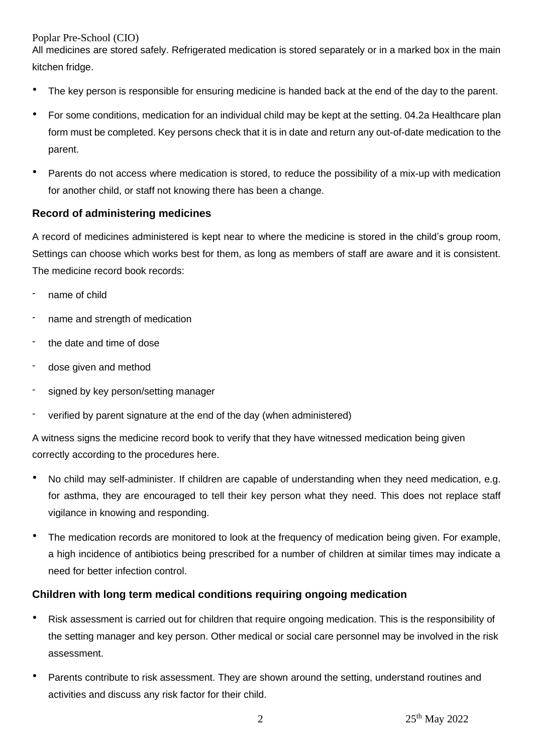Poplar Pre-School (CIO)

All medicines are stored safely. Refrigerated medication is stored separately or in a marked box in the main kitchen fridge.

- The key person is responsible for ensuring medicine is handed back at the end of the day to the parent.
- For some conditions, medication for an individual child may be kept at the setting. 04.2a Healthcare plan form must be completed. Key persons check that it is in date and return any out-of-date medication to the parent.
- Parents do not access where medication is stored, to reduce the possibility of a mix-up with medication for another child, or staff not knowing there has been a change.

## **Record of administering medicines**

A record of medicines administered is kept near to where the medicine is stored in the child's group room, Settings can choose which works best for them, as long as members of staff are aware and it is consistent. The medicine record book records:

- name of child
- name and strength of medication
- the date and time of dose
- dose given and method
- signed by key person/setting manager
- verified by parent signature at the end of the day (when administered)

A witness signs the medicine record book to verify that they have witnessed medication being given correctly according to the procedures here.

- No child may self-administer. If children are capable of understanding when they need medication, e.g. for asthma, they are encouraged to tell their key person what they need. This does not replace staff vigilance in knowing and responding.
- The medication records are monitored to look at the frequency of medication being given. For example, a high incidence of antibiotics being prescribed for a number of children at similar times may indicate a need for better infection control.

## **Children with long term medical conditions requiring ongoing medication**

- Risk assessment is carried out for children that require ongoing medication. This is the responsibility of the setting manager and key person. Other medical or social care personnel may be involved in the risk assessment.
- Parents contribute to risk assessment. They are shown around the setting, understand routines and activities and discuss any risk factor for their child.